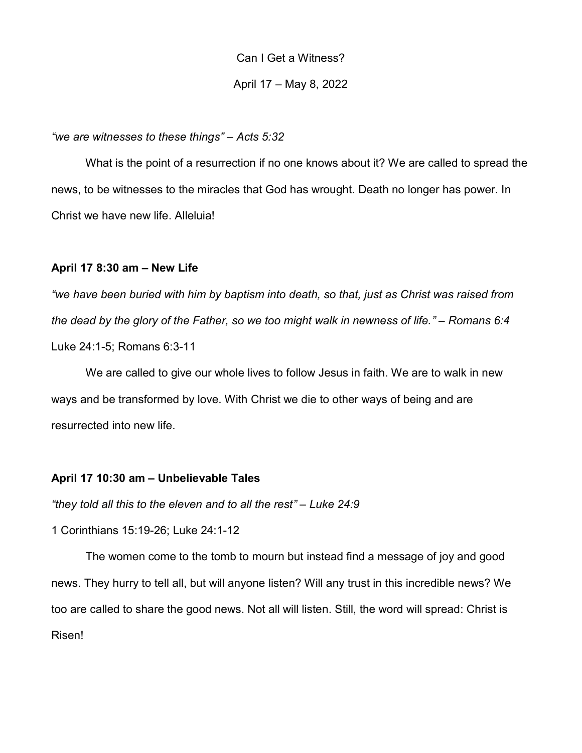Can I Get a Witness?

April 17 – May 8, 2022

## "we are witnesses to these things" – Acts 5:32

What is the point of a resurrection if no one knows about it? We are called to spread the news, to be witnesses to the miracles that God has wrought. Death no longer has power. In Christ we have new life. Alleluia!

## April 17 8:30 am – New Life

"we have been buried with him by baptism into death, so that, just as Christ was raised from the dead by the glory of the Father, so we too might walk in newness of life." – Romans 6:4 Luke 24:1-5; Romans 6:3-11

 We are called to give our whole lives to follow Jesus in faith. We are to walk in new ways and be transformed by love. With Christ we die to other ways of being and are resurrected into new life.

# April 17 10:30 am – Unbelievable Tales

"they told all this to the eleven and to all the rest" – Luke 24:9

1 Corinthians 15:19-26; Luke 24:1-12

 The women come to the tomb to mourn but instead find a message of joy and good news. They hurry to tell all, but will anyone listen? Will any trust in this incredible news? We too are called to share the good news. Not all will listen. Still, the word will spread: Christ is Risen!